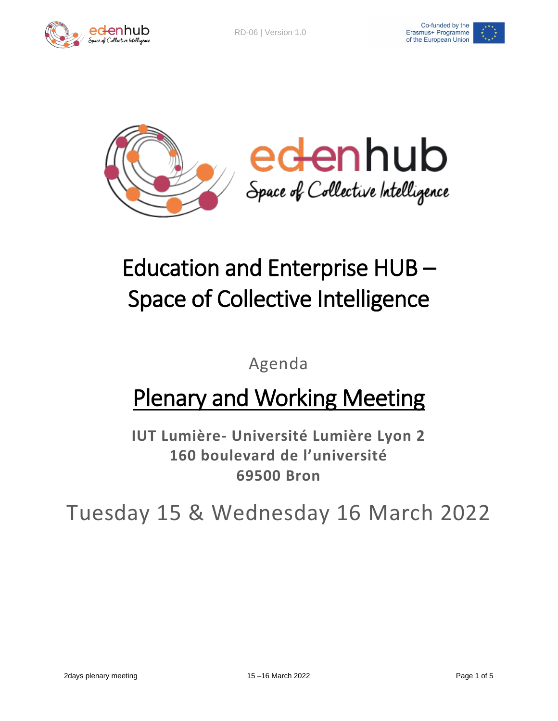



## Education and Enterprise HUB – Space of Collective Intelligence

Agenda

## Plenary and Working Meeting

**IUT Lumière- Université Lumière Lyon 2 160 boulevard de l'université 69500 Bron**

Tuesday 15 & Wednesday 16 March 2022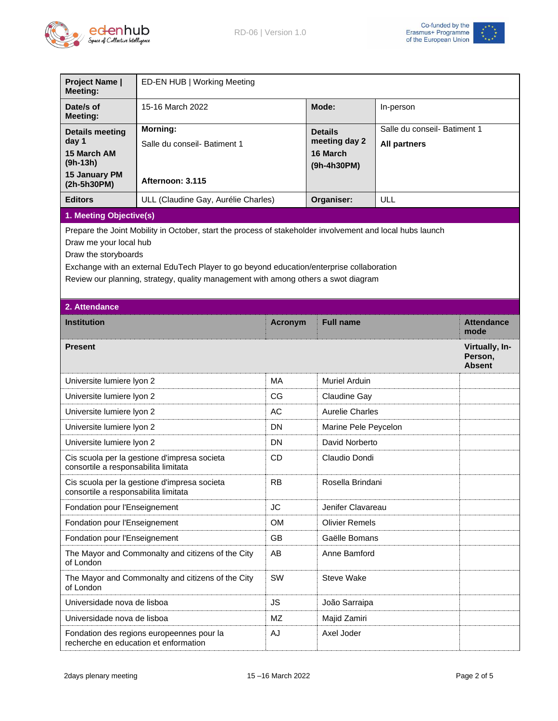



| <b>Project Name  </b><br><b>Meeting:</b>                                                                                                                                                                                                                                                                                                      | ED-EN HUB   Working Meeting                       |                |                                                            |                                                     |                                            |  |  |
|-----------------------------------------------------------------------------------------------------------------------------------------------------------------------------------------------------------------------------------------------------------------------------------------------------------------------------------------------|---------------------------------------------------|----------------|------------------------------------------------------------|-----------------------------------------------------|--------------------------------------------|--|--|
| Date/s of<br><b>Meeting:</b>                                                                                                                                                                                                                                                                                                                  | 15-16 March 2022                                  |                | Mode:                                                      | In-person                                           |                                            |  |  |
| <b>Details meeting</b><br>day 1<br>15 March AM<br>$(9h-13h)$                                                                                                                                                                                                                                                                                  | <b>Morning:</b><br>Salle du conseil- Batiment 1   |                | <b>Details</b><br>meeting day 2<br>16 March<br>(9h-4h30PM) | Salle du conseil- Batiment 1<br><b>All partners</b> |                                            |  |  |
| 15 January PM<br>(2h-5h30PM)                                                                                                                                                                                                                                                                                                                  | Afternoon: 3.115                                  |                |                                                            |                                                     |                                            |  |  |
| <b>Editors</b>                                                                                                                                                                                                                                                                                                                                | ULL (Claudine Gay, Aurélie Charles)               |                | Organiser:                                                 | ULL                                                 |                                            |  |  |
| 1. Meeting Objective(s)                                                                                                                                                                                                                                                                                                                       |                                                   |                |                                                            |                                                     |                                            |  |  |
| Prepare the Joint Mobility in October, start the process of stakeholder involvement and local hubs launch<br>Draw me your local hub<br>Draw the storyboards<br>Exchange with an external EduTech Player to go beyond education/enterprise collaboration<br>Review our planning, strategy, quality management with among others a swot diagram |                                                   |                |                                                            |                                                     |                                            |  |  |
| 2. Attendance                                                                                                                                                                                                                                                                                                                                 |                                                   |                |                                                            |                                                     |                                            |  |  |
| <b>Institution</b>                                                                                                                                                                                                                                                                                                                            |                                                   | <b>Acronym</b> | <b>Full name</b>                                           |                                                     | <b>Attendance</b><br>mode                  |  |  |
| <b>Present</b>                                                                                                                                                                                                                                                                                                                                |                                                   |                |                                                            |                                                     | Virtually, In-<br>Person,<br><b>Absent</b> |  |  |
| Universite lumiere lyon 2                                                                                                                                                                                                                                                                                                                     |                                                   | <b>MA</b>      | <b>Muriel Arduin</b>                                       |                                                     |                                            |  |  |
| Universite lumiere lyon 2                                                                                                                                                                                                                                                                                                                     |                                                   | CG             | <b>Claudine Gay</b>                                        |                                                     |                                            |  |  |
| Universite lumiere lyon 2                                                                                                                                                                                                                                                                                                                     |                                                   | AC             |                                                            | <b>Aurelie Charles</b>                              |                                            |  |  |
| Universite lumiere lyon 2                                                                                                                                                                                                                                                                                                                     |                                                   | <b>DN</b>      |                                                            | Marine Pele Peycelon                                |                                            |  |  |
| Universite lumiere lyon 2                                                                                                                                                                                                                                                                                                                     |                                                   | <b>DN</b>      | David Norberto                                             |                                                     |                                            |  |  |
| consortile a responsabilita limitata                                                                                                                                                                                                                                                                                                          | Cis scuola per la gestione d'impresa societa      | <b>CD</b>      | Claudio Dondi                                              |                                                     |                                            |  |  |
| consortile a responsabilita limitata                                                                                                                                                                                                                                                                                                          | Cis scuola per la gestione d'impresa societa      | <b>RB</b>      | Rosella Brindani                                           |                                                     |                                            |  |  |
| Fondation pour l'Enseignement                                                                                                                                                                                                                                                                                                                 |                                                   | <b>JC</b>      | Jenifer Clavareau                                          |                                                     |                                            |  |  |
| Fondation pour l'Enseignement                                                                                                                                                                                                                                                                                                                 |                                                   | <b>OM</b>      |                                                            | <b>Olivier Remels</b>                               |                                            |  |  |
| Fondation pour l'Enseignement                                                                                                                                                                                                                                                                                                                 |                                                   | GB             | Gaëlle Bomans                                              |                                                     |                                            |  |  |
| of London                                                                                                                                                                                                                                                                                                                                     | The Mayor and Commonalty and citizens of the City | AB             | Anne Bamford                                               |                                                     |                                            |  |  |
| of London                                                                                                                                                                                                                                                                                                                                     | The Mayor and Commonalty and citizens of the City | SW             | <b>Steve Wake</b>                                          |                                                     |                                            |  |  |
| Universidade nova de lisboa                                                                                                                                                                                                                                                                                                                   |                                                   | JS.            | João Sarraipa                                              |                                                     |                                            |  |  |
| Universidade nova de lisboa                                                                                                                                                                                                                                                                                                                   |                                                   | ΜZ             | Majid Zamiri                                               |                                                     |                                            |  |  |
| recherche en education et enformation                                                                                                                                                                                                                                                                                                         | Fondation des regions europeennes pour la         | AJ             | Axel Joder                                                 |                                                     |                                            |  |  |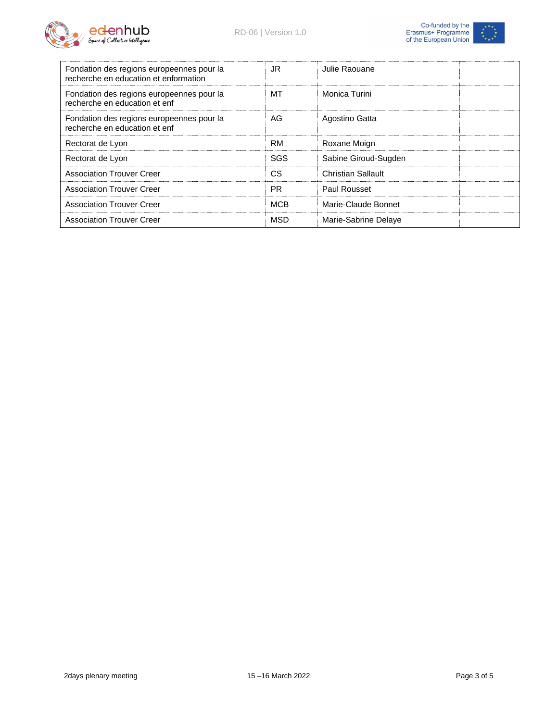



| Fondation des regions europeennes pour la<br>recherche en education et enformation | JR.        | Julie Raouane             |
|------------------------------------------------------------------------------------|------------|---------------------------|
| Fondation des regions europeennes pour la<br>recherche en education et enf         | МT         | Monica Turini             |
| Fondation des regions europeennes pour la<br>recherche en education et enf         | AG         | Agostino Gatta            |
| Rectorat de Lyon                                                                   | <b>RM</b>  | Roxane Moign              |
| Rectorat de Lyon                                                                   | SGS        | Sabine Giroud-Sugden      |
| <b>Association Trouver Creer</b>                                                   | <b>CS</b>  | <b>Christian Sallault</b> |
| <b>Association Trouver Creer</b>                                                   | <b>PR</b>  | Paul Rousset              |
| <b>Association Trouver Creer</b>                                                   | <b>MCB</b> | Marie-Claude Bonnet       |
| <b>Association Trouver Creer</b>                                                   | <b>MSD</b> | Marie-Sabrine Delaye      |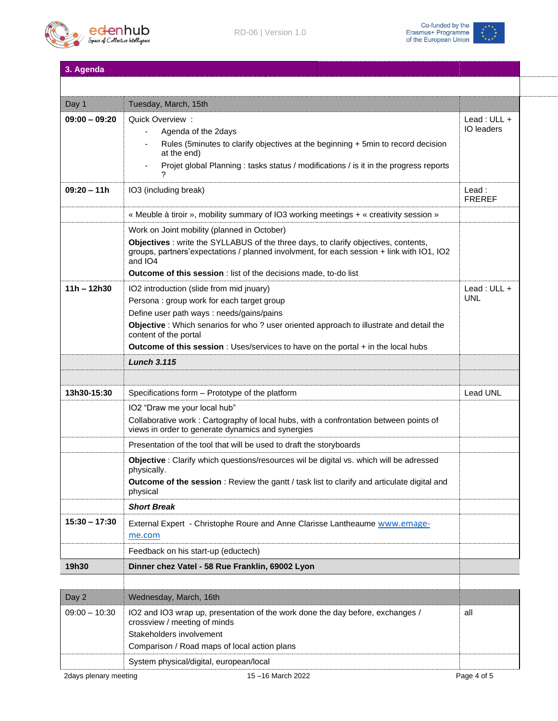



**3. Agenda**

| Day 1           | Tuesday, March, 15th                                                                                                                                                                        |                           |
|-----------------|---------------------------------------------------------------------------------------------------------------------------------------------------------------------------------------------|---------------------------|
| $09:00 - 09:20$ | Quick Overview:                                                                                                                                                                             |                           |
|                 | Agenda of the 2days<br>$\overline{\phantom{a}}$                                                                                                                                             | <b>IO</b> leaders         |
|                 | Rules (5minutes to clarify objectives at the beginning + 5min to record decision<br>at the end)                                                                                             |                           |
|                 | Projet global Planning: tasks status / modifications / is it in the progress reports                                                                                                        |                           |
| $09:20 - 11h$   | IO3 (including break)                                                                                                                                                                       | Lead:<br><b>FREREF</b>    |
|                 | « Meuble à tiroir », mobility summary of IO3 working meetings + « creativity session »                                                                                                      |                           |
|                 | Work on Joint mobility (planned in October)                                                                                                                                                 |                           |
|                 | Objectives : write the SYLLABUS of the three days, to clarify objectives, contents,<br>groups, partners'expectations / planned involvment, for each session + link with IO1, IO2<br>and IO4 |                           |
|                 | <b>Outcome of this session</b> : list of the decisions made, to-do list                                                                                                                     |                           |
| $11h - 12h30$   | IO2 introduction (slide from mid jnuary)                                                                                                                                                    | Lead: ULL +<br><b>UNL</b> |
|                 | Persona : group work for each target group<br>Define user path ways : needs/gains/pains                                                                                                     |                           |
|                 | Objective : Which senarios for who? user oriented approach to illustrate and detail the                                                                                                     |                           |
|                 | content of the portal                                                                                                                                                                       |                           |
|                 | Outcome of this session : Uses/services to have on the portal + in the local hubs                                                                                                           |                           |
|                 | <b>Lunch 3.115</b>                                                                                                                                                                          |                           |
|                 |                                                                                                                                                                                             |                           |
| 13h30-15:30     | Specifications form - Prototype of the platform                                                                                                                                             | <b>Lead UNL</b>           |
|                 | IO2 "Draw me your local hub"                                                                                                                                                                |                           |
|                 | Collaborative work : Cartography of local hubs, with a confrontation between points of<br>views in order to generate dynamics and synergies                                                 |                           |
|                 | Presentation of the tool that will be used to draft the storyboards                                                                                                                         |                           |
|                 | Objective : Clarify which questions/resources wil be digital vs. which will be adressed                                                                                                     |                           |
|                 | physically.                                                                                                                                                                                 |                           |
|                 | Outcome of the session: Review the gantt / task list to clarify and articulate digital and<br>physical                                                                                      |                           |
|                 | <b>Short Break</b>                                                                                                                                                                          |                           |
| $15:30 - 17:30$ | External Expert - Christophe Roure and Anne Clarisse Lantheaume www.emage-                                                                                                                  |                           |
|                 | me.com                                                                                                                                                                                      |                           |
|                 | Feedback on his start-up (eductech)                                                                                                                                                         |                           |
| 19h30           | Dinner chez Vatel - 58 Rue Franklin, 69002 Lyon                                                                                                                                             |                           |
|                 |                                                                                                                                                                                             |                           |
| Day 2           | Wednesday, March, 16th                                                                                                                                                                      |                           |
| $09:00 - 10:30$ | IO2 and IO3 wrap up, presentation of the work done the day before, exchanges /<br>crossview / meeting of minds<br>Stakeholders involvement                                                  | all                       |

Comparison / Road maps of local action plans

System physical/digital, european/local